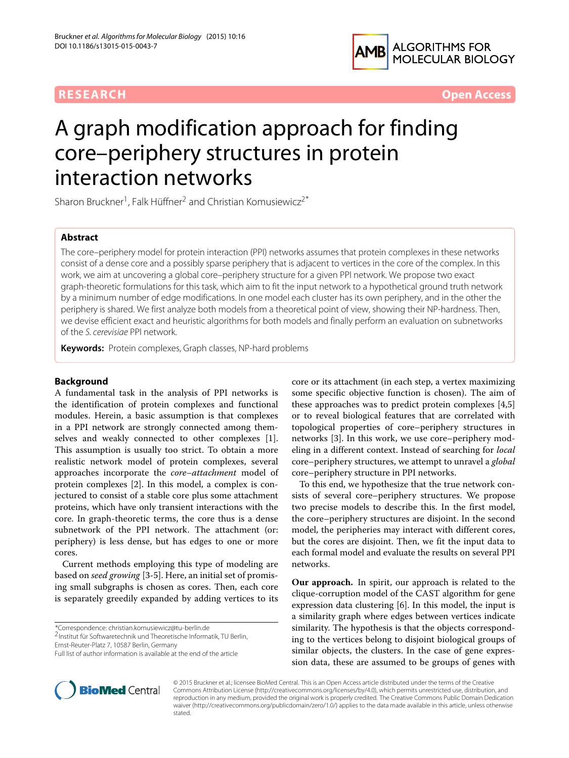# **RESEARCH Open Access**



# A graph modification approach for finding core–periphery structures in protein interaction networks

Sharon Bruckner<sup>1</sup>, Falk Hüffner<sup>2</sup> and Christian Komusiewicz<sup>2\*</sup>

# **Abstract**

The core–periphery model for protein interaction (PPI) networks assumes that protein complexes in these networks consist of a dense core and a possibly sparse periphery that is adjacent to vertices in the core of the complex. In this work, we aim at uncovering a global core–periphery structure for a given PPI network. We propose two exact graph-theoretic formulations for this task, which aim to fit the input network to a hypothetical ground truth network by a minimum number of edge modifications. In one model each cluster has its own periphery, and in the other the periphery is shared. We first analyze both models from a theoretical point of view, showing their NP-hardness. Then, we devise efficient exact and heuristic algorithms for both models and finally perform an evaluation on subnetworks of the S. cerevisiae PPI network.

**Keywords:** Protein complexes, Graph classes, NP-hard problems

# **Background**

A fundamental task in the analysis of PPI networks is the identification of protein complexes and functional modules. Herein, a basic assumption is that complexes in a PPI network are strongly connected among themselves and weakly connected to other complexes [\[1\]](#page-11-0). This assumption is usually too strict. To obtain a more realistic network model of protein complexes, several approaches incorporate the *core–attachment* model of protein complexes [\[2\]](#page-11-1). In this model, a complex is conjectured to consist of a stable core plus some attachment proteins, which have only transient interactions with the core. In graph-theoretic terms, the core thus is a dense subnetwork of the PPI network. The attachment (or: periphery) is less dense, but has edges to one or more cores.

Current methods employing this type of modeling are based on *seed growing* [\[3-](#page-11-2)[5\]](#page-11-3). Here, an initial set of promising small subgraphs is chosen as cores. Then, each core is separately greedily expanded by adding vertices to its

\*Correspondence: [christian.komusiewicz@tu-berlin.de](mailto: christian.komusiewicz@tu-berlin.de)

2Institut für Softwaretechnik und Theoretische Informatik, TU Berlin, Ernst-Reuter-Platz 7, 10587 Berlin, Germany

core or its attachment (in each step, a vertex maximizing some specific objective function is chosen). The aim of these approaches was to predict protein complexes [\[4,](#page-11-4)[5\]](#page-11-3) or to reveal biological features that are correlated with topological properties of core–periphery structures in networks [\[3\]](#page-11-2). In this work, we use core–periphery modeling in a different context. Instead of searching for *local* core–periphery structures, we attempt to unravel a *global* core–periphery structure in PPI networks.

To this end, we hypothesize that the true network consists of several core–periphery structures. We propose two precise models to describe this. In the first model, the core–periphery structures are disjoint. In the second model, the peripheries may interact with different cores, but the cores are disjoint. Then, we fit the input data to each formal model and evaluate the results on several PPI networks.

**Our approach.** In spirit, our approach is related to the clique-corruption model of the CAST algorithm for gene expression data clustering [\[6\]](#page-11-5). In this model, the input is a similarity graph where edges between vertices indicate similarity. The hypothesis is that the objects corresponding to the vertices belong to disjoint biological groups of similar objects, the clusters. In the case of gene expression data, these are assumed to be groups of genes with



© 2015 Bruckner et al.; licensee BioMed Central. This is an Open Access article distributed under the terms of the Creative Commons Attribution License [\(http://creativecommons.org/licenses/by/4.0\)](http://creativecommons.org/licenses/by/4.0), which permits unrestricted use, distribution, and reproduction in any medium, provided the original work is properly credited. The Creative Commons Public Domain Dedication waiver [\(http://creativecommons.org/publicdomain/zero/1.0/\)](http://creativecommons.org/publicdomain/zero/1.0/) applies to the data made available in this article, unless otherwise stated.

Full list of author information is available at the end of the article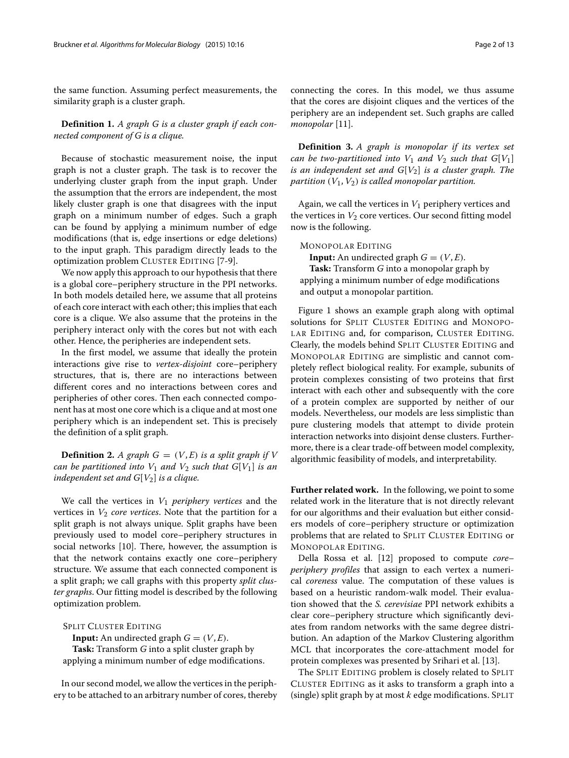the same function. Assuming perfect measurements, the similarity graph is a cluster graph.

# **Definition 1.** *A graph G is a cluster graph if each connected component of G is a clique.*

Because of stochastic measurement noise, the input graph is not a cluster graph. The task is to recover the underlying cluster graph from the input graph. Under the assumption that the errors are independent, the most likely cluster graph is one that disagrees with the input graph on a minimum number of edges. Such a graph can be found by applying a minimum number of edge modifications (that is, edge insertions or edge deletions) to the input graph. This paradigm directly leads to the optimization problem CLUSTER EDITING [\[7-](#page-11-6)[9\]](#page-12-0).

We now apply this approach to our hypothesis that there is a global core–periphery structure in the PPI networks. In both models detailed here, we assume that all proteins of each core interact with each other; this implies that each core is a clique. We also assume that the proteins in the periphery interact only with the cores but not with each other. Hence, the peripheries are independent sets.

In the first model, we assume that ideally the protein interactions give rise to *vertex-disjoint* core–periphery structures, that is, there are no interactions between different cores and no interactions between cores and peripheries of other cores. Then each connected component has at most one core which is a clique and at most one periphery which is an independent set. This is precisely the definition of a split graph.

**Definition 2.** *A graph*  $G = (V, E)$  *is a split graph if*  $V$ *can be partitioned into*  $V_1$  *and*  $V_2$  *such that*  $G[V_1]$  *is an independent set and G*[*V*2] *is a clique.*

We call the vertices in *V*<sup>1</sup> *periphery vertices* and the vertices in  $V_2$  *core vertices*. Note that the partition for a split graph is not always unique. Split graphs have been previously used to model core–periphery structures in social networks [\[10\]](#page-12-1). There, however, the assumption is that the network contains exactly one core–periphery structure. We assume that each connected component is a split graph; we call graphs with this property *split cluster graphs*. Our fitting model is described by the following optimization problem.

SPLIT CLUSTER EDITING

**Input:** An undirected graph  $G = (V, E)$ . **Task:** Transform *G* into a split cluster graph by applying a minimum number of edge modifications.

In our second model, we allow the vertices in the periphery to be attached to an arbitrary number of cores, thereby connecting the cores. In this model, we thus assume that the cores are disjoint cliques and the vertices of the periphery are an independent set. Such graphs are called *monopolar* [\[11\]](#page-12-2).

<span id="page-1-0"></span>**Definition 3.** *A graph is monopolar if its vertex set can be two-partitioned into*  $V_1$  *and*  $V_2$  *such that*  $G[V_1]$ *is an independent set and G*[*V*2] *is a cluster graph. The partition* (*V*1,*V*2) *is called monopolar partition.*

Again, we call the vertices in *V*<sup>1</sup> periphery vertices and the vertices in  $V_2$  core vertices. Our second fitting model now is the following.

```
MONOPOLAR EDITING
```
**Input:** An undirected graph  $G = (V, E)$ . **Task:** Transform *G* into a monopolar graph by applying a minimum number of edge modifications and output a monopolar partition.

Figure [1](#page-2-0) shows an example graph along with optimal solutions for SPLIT CLUSTER EDITING and MONOPO-LAR EDITING and, for comparison, CLUSTER EDITING. Clearly, the models behind SPLIT CLUSTER EDITING and MONOPOLAR EDITING are simplistic and cannot completely reflect biological reality. For example, subunits of protein complexes consisting of two proteins that first interact with each other and subsequently with the core of a protein complex are supported by neither of our models. Nevertheless, our models are less simplistic than pure clustering models that attempt to divide protein interaction networks into disjoint dense clusters. Furthermore, there is a clear trade-off between model complexity, algorithmic feasibility of models, and interpretability.

**Further related work.** In the following, we point to some related work in the literature that is not directly relevant for our algorithms and their evaluation but either considers models of core–periphery structure or optimization problems that are related to SPLIT CLUSTER EDITING or MONOPOLAR EDITING.

Della Rossa et al. [\[12\]](#page-12-3) proposed to compute *core– periphery profiles* that assign to each vertex a numerical *coreness* value. The computation of these values is based on a heuristic random-walk model. Their evaluation showed that the *S. cerevisiae* PPI network exhibits a clear core–periphery structure which significantly deviates from random networks with the same degree distribution. An adaption of the Markov Clustering algorithm MCL that incorporates the core-attachment model for protein complexes was presented by Srihari et al. [\[13\]](#page-12-4).

The SPLIT EDITING problem is closely related to SPLIT CLUSTER EDITING as it asks to transform a graph into a (single) split graph by at most *k* edge modifications. SPLIT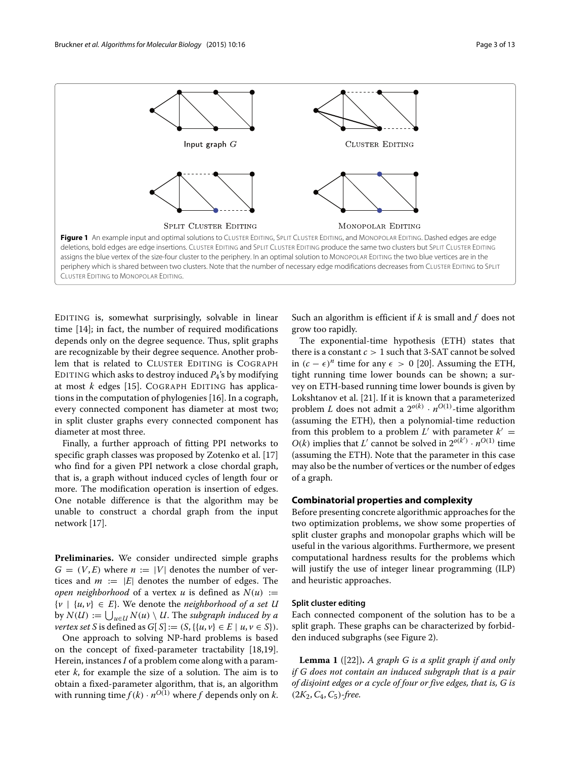

<span id="page-2-0"></span>EDITING is, somewhat surprisingly, solvable in linear time [\[14\]](#page-12-5); in fact, the number of required modifications depends only on the degree sequence. Thus, split graphs are recognizable by their degree sequence. Another problem that is related to CLUSTER EDITING is COGRAPH EDITING which asks to destroy induced *P*4's by modifying at most *k* edges [\[15\]](#page-12-6). COGRAPH EDITING has applications in the computation of phylogenies [\[16\]](#page-12-7). In a cograph, every connected component has diameter at most two; in split cluster graphs every connected component has diameter at most three.

Finally, a further approach of fitting PPI networks to specific graph classes was proposed by Zotenko et al. [\[17\]](#page-12-8) who find for a given PPI network a close chordal graph, that is, a graph without induced cycles of length four or more. The modification operation is insertion of edges. One notable difference is that the algorithm may be unable to construct a chordal graph from the input network [\[17\]](#page-12-8).

**Preliminaries.** We consider undirected simple graphs  $G = (V, E)$  where  $n := |V|$  denotes the number of vertices and  $m := |E|$  denotes the number of edges. The *open neighborhood* of a vertex *u* is defined as  $N(u) :=$  $\{v \mid \{u, v\} \in E\}$ . We denote the *neighborhood of a set U* by  $N(U) := \bigcup_{u \in U} N(u) \setminus U$ . The *subgraph induced by a vertex set S* is defined as  $G[S] := (S, \{(u, v) \in E \mid u, v \in S\}).$ 

One approach to solving NP-hard problems is based on the concept of fixed-parameter tractability [\[18,](#page-12-9)[19\]](#page-12-10). Herein, instances*I* of a problem come along with a parameter *k*, for example the size of a solution. The aim is to obtain a fixed-parameter algorithm, that is, an algorithm with running time  $f(k) \cdot n^{O(1)}$  where *f* depends only on *k*. Such an algorithm is efficient if *k* is small and *f* does not grow too rapidly.

The exponential-time hypothesis (ETH) states that there is a constant  $c > 1$  such that 3-SAT cannot be solved in  $(c - \epsilon)^n$  time for any  $\epsilon > 0$  [\[20\]](#page-12-11). Assuming the ETH, tight running time lower bounds can be shown; a survey on ETH-based running time lower bounds is given by Lokshtanov et al. [\[21\]](#page-12-12). If it is known that a parameterized problem *L* does not admit a  $2^{o(k)} \cdot n^{O(1)}$ -time algorithm (assuming the ETH), then a polynomial-time reduction from this problem to a problem  $L'$  with parameter  $k' =$ *O*(*k*) implies that *L*<sup> $\prime$ </sup> cannot be solved in  $2^{o(k')}\cdot n^{O(1)}$  time (assuming the ETH). Note that the parameter in this case may also be the number of vertices or the number of edges of a graph.

# **Combinatorial properties and complexity**

Before presenting concrete algorithmic approaches for the two optimization problems, we show some properties of split cluster graphs and monopolar graphs which will be useful in the various algorithms. Furthermore, we present computational hardness results for the problems which will justify the use of integer linear programming (ILP) and heuristic approaches.

# <span id="page-2-1"></span>**Split cluster editing**

Each connected component of the solution has to be a split graph. These graphs can be characterized by forbidden induced subgraphs (see Figure [2\)](#page-3-0).

**Lemma 1** ([\[22\]](#page-12-13))**.** *A graph G is a split graph if and only if G does not contain an induced subgraph that is a pair of disjoint edges or a cycle of four or five edges, that is, G is*  $(2K_2, C_4, C_5)$ -free.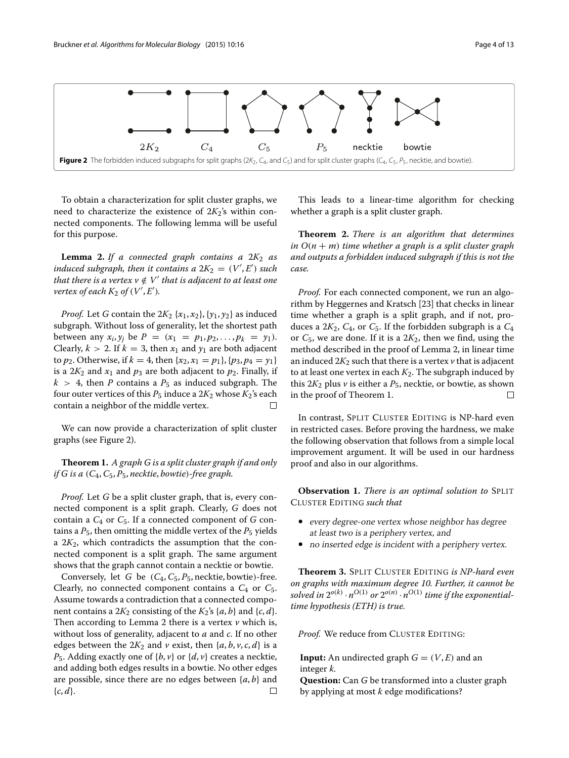

<span id="page-3-0"></span>To obtain a characterization for split cluster graphs, we need to characterize the existence of  $2K_2$ 's within connected components. The following lemma will be useful for this purpose.

<span id="page-3-1"></span>**Lemma 2.** If a connected graph contains a  $2K_2$  as *induced subgraph, then it contains a*  $2K_2 = (V', E')$  *such that there is a vertex v*  $\notin$  *V' that is adjacent to at least one vertex of each*  $K_2$  *of*  $(V', E')$ *.* 

*Proof.* Let *G* contain the  $2K_2$  { $x_1$ ,  $x_2$ }, { $y_1$ ,  $y_2$ } as induced subgraph. Without loss of generality, let the shortest path between any  $x_i, y_j$  be  $P = (x_1 = p_1, p_2, \ldots, p_k = y_1).$ Clearly,  $k > 2$ . If  $k = 3$ , then  $x_1$  and  $y_1$  are both adjacent to  $p_2$ . Otherwise, if  $k = 4$ , then  $\{x_2, x_1 = p_1\}$ ,  $\{p_3, p_4 = y_1\}$ is a  $2K_2$  and  $x_1$  and  $p_3$  are both adjacent to  $p_2$ . Finally, if  $k > 4$ , then *P* contains a  $P_5$  as induced subgraph. The four outer vertices of this  $P_5$  induce a  $2K_2$  whose  $K_2$ 's each contain a neighbor of the middle vertex. П

We can now provide a characterization of split cluster graphs (see Figure [2\)](#page-3-0).

<span id="page-3-2"></span>**Theorem 1.** *A graph G is a split cluster graph if and only if G is a* (*C*4,*C*5, *P*5, *necktie*, *bowtie*)*-free graph.*

*Proof.* Let *G* be a split cluster graph, that is, every connected component is a split graph. Clearly, *G* does not contain a  $C_4$  or  $C_5$ . If a connected component of  $G$  contains a  $P_5$ , then omitting the middle vertex of the  $P_5$  yields a 2*K*2, which contradicts the assumption that the connected component is a split graph. The same argument shows that the graph cannot contain a necktie or bowtie.

Conversely, let *G* be (*C*4,*C*5, *P*5, necktie, bowtie)-free. Clearly, no connected component contains a *C*<sup>4</sup> or *C*5. Assume towards a contradiction that a connected component contains a  $2K_2$  consisting of the  $K_2$ 's  $\{a, b\}$  and  $\{c, d\}$ . Then according to Lemma [2](#page-3-1) there is a vertex *v* which is, without loss of generality, adjacent to *a* and *c*. If no other edges between the  $2K_2$  and  $\nu$  exist, then  $\{a, b, \nu, c, d\}$  is a *P*<sub>5</sub>. Adding exactly one of  $\{b, v\}$  or  $\{d, v\}$  creates a necktie, and adding both edges results in a bowtie. No other edges are possible, since there are no edges between  $\{a, b\}$  and  $\{c, d\}$ .  $\{c, d\}.$ 

This leads to a linear-time algorithm for checking whether a graph is a split cluster graph.

<span id="page-3-4"></span>**Theorem 2.** *There is an algorithm that determines in O*(*n* + *m*) *time whether a graph is a split cluster graph and outputs a forbidden induced subgraph if this is not the case.*

*Proof.* For each connected component, we run an algorithm by Heggernes and Kratsch [\[23\]](#page-12-14) that checks in linear time whether a graph is a split graph, and if not, produces a 2*K*2, *C*4, or *C*5. If the forbidden subgraph is a *C*<sup>4</sup> or  $C_5$ , we are done. If it is a  $2K_2$ , then we find, using the method described in the proof of Lemma [2,](#page-3-1) in linear time an induced  $2K_2$  such that there is a vertex  $\nu$  that is adjacent to at least one vertex in each  $K_2$ . The subgraph induced by this  $2K_2$  plus *v* is either a  $P_5$ , necktie, or bowtie, as shown in the proof of Theorem [1.](#page-3-2) П

In contrast, SPLIT CLUSTER EDITING is NP-hard even in restricted cases. Before proving the hardness, we make the following observation that follows from a simple local improvement argument. It will be used in our hardness proof and also in our algorithms.

<span id="page-3-3"></span>**Observation 1.** *There is an optimal solution to* SPLIT CLUSTER EDITING *such that*

- every degree-one vertex whose neighbor has degree at least two is <sup>a</sup> periphery vertex, and
- no inserted edge is incident with <sup>a</sup> periphery vertex.

**Theorem 3.** SPLIT CLUSTER EDITING *is NP-hard even on graphs with maximum degree 10. Further, it cannot be* solved in  $2^{o(k)} \cdot n^{O(1)}$  or  $2^{o(n)} \cdot n^{O(1)}$  time if the exponential*time hypothesis (ETH) is true.*

*Proof.* We reduce from CLUSTER EDITING:

**Input:** An undirected graph  $G = (V, E)$  and an integer *k*.

**Question:** Can *G* be transformed into a cluster graph by applying at most *k* edge modifications?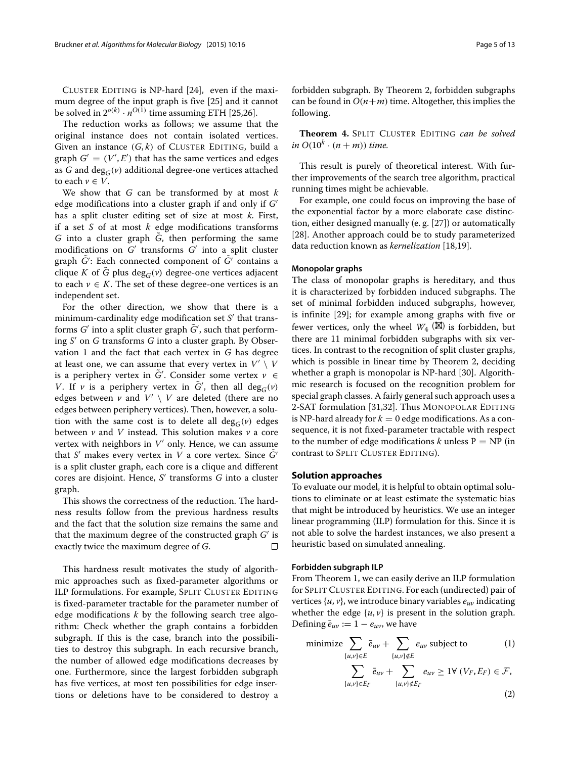CLUSTER EDITING is NP-hard [\[24\]](#page-12-15), even if the maximum degree of the input graph is five [\[25\]](#page-12-16) and it cannot be solved in  $2^{o(k)} \cdot n^{O(1)}$  time assuming ETH [\[25](#page-12-16)[,26\]](#page-12-17).

The reduction works as follows; we assume that the original instance does not contain isolated vertices. Given an instance (*G*, *k*) of CLUSTER EDITING, build a graph  $G' = (V', E')$  that has the same vertices and edges as *G* and  $\deg_G(v)$  additional degree-one vertices attached to each  $v \in V$ .

We show that *G* can be transformed by at most *k* edge modifications into a cluster graph if and only if *G* has a split cluster editing set of size at most *k*. First, if a set *S* of at most *k* edge modifications transforms *G* into a cluster graph  $\tilde{G}$ , then performing the same modifications on G' transforms G' into a split cluster graph *G*˜ : Each connected component of *G*˜ contains a clique *K* of *G* plus deg<sub>*G*</sub>( $\nu$ ) degree-one vertices adjacent to each  $v \in K$ . The set of these degree-one vertices is an independent set.

For the other direction, we show that there is a minimum-cardinality edge modification set S<sup>'</sup> that transforms  $G'$  into a split cluster graph  $G'$ , such that performing *S'* on *G* transforms *G* into a cluster graph. By Observation [1](#page-3-3) and the fact that each vertex in *G* has degree at least one, we can assume that every vertex in  $V' \setminus V$ is a periphery vertex in *G*'. Consider some vertex  $v \in$ *V*. If *v* is a periphery vertex in *G*<sup> $\prime$ </sup>, then all deg<sub>*G*</sub>(*v*) edges between  $\nu$  and  $V' \setminus V$  are deleted (there are no edges between periphery vertices). Then, however, a solution with the same cost is to delete all deg<sub> $G(v)$ </sub> edges between *v* and *V* instead. This solution makes *v* a core vertex with neighbors in  $V'$  only. Hence, we can assume that  $S'$  makes every vertex in  $V$  a core vertex. Since  $\tilde{G}'$ is a split cluster graph, each core is a clique and different cores are disjoint. Hence, S' transforms G into a cluster graph.

This shows the correctness of the reduction. The hardness results follow from the previous hardness results and the fact that the solution size remains the same and that the maximum degree of the constructed graph *G* is exactly twice the maximum degree of *G*.  $\Box$ 

This hardness result motivates the study of algorithmic approaches such as fixed-parameter algorithms or ILP formulations. For example, SPLIT CLUSTER EDITING is fixed-parameter tractable for the parameter number of edge modifications *k* by the following search tree algorithm: Check whether the graph contains a forbidden subgraph. If this is the case, branch into the possibilities to destroy this subgraph. In each recursive branch, the number of allowed edge modifications decreases by one. Furthermore, since the largest forbidden subgraph has five vertices, at most ten possibilities for edge insertions or deletions have to be considered to destroy a

**Theorem 4.** SPLIT CLUSTER EDITING *can be solved in*  $O(10^k \cdot (n+m))$  *time.* 

This result is purely of theoretical interest. With further improvements of the search tree algorithm, practical running times might be achievable.

For example, one could focus on improving the base of the exponential factor by a more elaborate case distinction, either designed manually (e. g. [\[27\]](#page-12-18)) or automatically [\[28\]](#page-12-19). Another approach could be to study parameterized data reduction known as *kernelization* [\[18](#page-12-9)[,19\]](#page-12-10).

## **Monopolar graphs**

The class of monopolar graphs is hereditary, and thus it is characterized by forbidden induced subgraphs. The set of minimal forbidden induced subgraphs, however, is infinite [\[29\]](#page-12-20); for example among graphs with five or fewer vertices, only the wheel  $W_4$  ( $\boxtimes$ ) is forbidden, but there are 11 minimal forbidden subgraphs with six vertices. In contrast to the recognition of split cluster graphs, which is possible in linear time by Theorem [2,](#page-3-4) deciding whether a graph is monopolar is NP-hard [\[30\]](#page-12-21). Algorithmic research is focused on the recognition problem for special graph classes. A fairly general such approach uses a 2-SAT formulation [\[31](#page-12-22)[,32\]](#page-12-23). Thus MONOPOLAR EDITING is NP-hard already for  $k = 0$  edge modifications. As a consequence, it is not fixed-parameter tractable with respect to the number of edge modifications  $k$  unless  $P = NP$  (in contrast to SPLIT CLUSTER EDITING).

## **Solution approaches**

To evaluate our model, it is helpful to obtain optimal solutions to eliminate or at least estimate the systematic bias that might be introduced by heuristics. We use an integer linear programming (ILP) formulation for this. Since it is not able to solve the hardest instances, we also present a heuristic based on simulated annealing.

### **Forbidden subgraph ILP**

<span id="page-4-1"></span>From Theorem [1,](#page-3-2) we can easily derive an ILP formulation for SPLIT CLUSTER EDITING. For each (undirected) pair of vertices  $\{u, v\}$ , we introduce binary variables  $e_{uv}$  indicating whether the edge  $\{u, v\}$  is present in the solution graph. Defining  $\bar{e}_{uv} := 1 - e_{uv}$ , we have

<span id="page-4-0"></span>minimize 
$$
\sum_{\{u,v\} \in E} \bar{e}_{uv} + \sum_{\{u,v\} \notin E} e_{uv}
$$
 subject to  
\n
$$
\sum_{\{u,v\} \in E_F} \bar{e}_{uv} + \sum_{\{u,v\} \notin E_F} e_{uv} \ge 1 \forall (V_F, E_F) \in \mathcal{F},
$$
\n(2)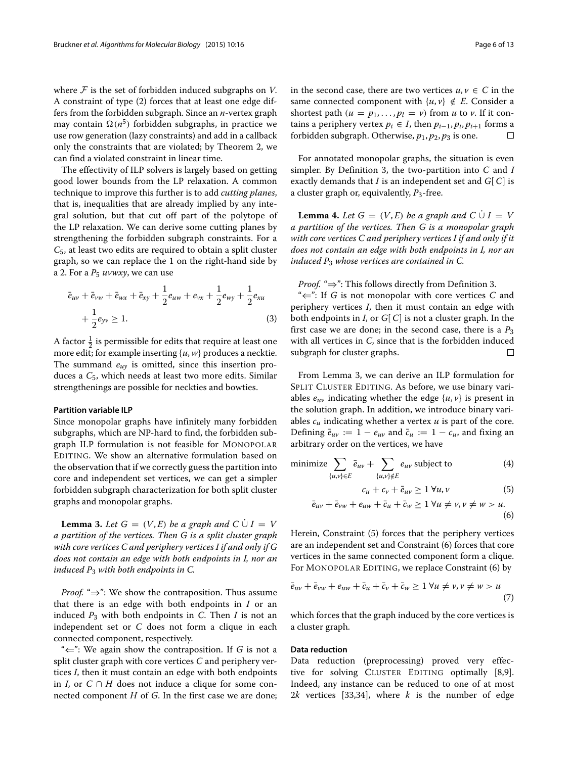where F is the set of forbidden induced subgraphs on *V*. A constraint of type [\(2\)](#page-4-0) forces that at least one edge differs from the forbidden subgraph. Since an *n*-vertex graph may contain  $\Omega(n^5)$  forbidden subgraphs, in practice we use row generation (lazy constraints) and add in a callback only the constraints that are violated; by Theorem [2,](#page-3-4) we can find a violated constraint in linear time.

The effectivity of ILP solvers is largely based on getting good lower bounds from the LP relaxation. A common technique to improve this further is to add *cutting planes*, that is, inequalities that are already implied by any integral solution, but that cut off part of the polytope of the LP relaxation. We can derive some cutting planes by strengthening the forbidden subgraph constraints. For a *C*5, at least two edits are required to obtain a split cluster graph, so we can replace the 1 on the right-hand side by a 2. For a  $P_5$  *uvwxy*, we can use

$$
\bar{e}_{uv} + \bar{e}_{vw} + \bar{e}_{wx} + \bar{e}_{xy} + \frac{1}{2}e_{uw} + e_{vx} + \frac{1}{2}e_{wy} + \frac{1}{2}e_{xu} + \frac{1}{2}e_{yv} \ge 1.
$$
\n(3)

A factor  $\frac{1}{2}$  is permissible for edits that require at least one more edit; for example inserting {*u*,*w*} produces a necktie. The summand *euy* is omitted, since this insertion produces a *C*5, which needs at least two more edits. Similar strengthenings are possible for neckties and bowties.

# **Partition variable ILP**

<span id="page-5-4"></span>Since monopolar graphs have infinitely many forbidden subgraphs, which are NP-hard to find, the forbidden subgraph ILP formulation is not feasible for MONOPOLAR EDITING. We show an alternative formulation based on the observation that if we correctly guess the partition into core and independent set vertices, we can get a simpler forbidden subgraph characterization for both split cluster graphs and monopolar graphs.

<span id="page-5-0"></span>**Lemma 3.** Let  $G = (V, E)$  be a graph and  $C \cup I = V$ *a partition of the vertices. Then G is a split cluster graph with core vertices C and periphery vertices I if and only if G does not contain an edge with both endpoints in I, nor an induced P*<sup>3</sup> *with both endpoints in C.*

*Proof.* "⇒": We show the contraposition. Thus assume that there is an edge with both endpoints in *I* or an induced  $P_3$  with both endpoints in *C*. Then *I* is not an independent set or *C* does not form a clique in each connected component, respectively.

"⇐": We again show the contraposition. If *G* is not a split cluster graph with core vertices *C* and periphery vertices *I*, then it must contain an edge with both endpoints in *I*, or *C* ∩ *H* does not induce a clique for some connected component *H* of *G*. In the first case we are done; in the second case, there are two vertices  $u, v \in C$  in the same connected component with  $\{u, v\} \notin E$ . Consider a shortest path  $(u = p_1, \ldots, p_l = v)$  from *u* to *v*. If it contains a periphery vertex  $p_i \in I$ , then  $p_{i-1}, p_i, p_{i+1}$  forms a forbidden subgraph. Otherwise,  $p_1$ ,  $p_2$ ,  $p_3$  is one.

For annotated monopolar graphs, the situation is even simpler. By Definition [3,](#page-1-0) the two-partition into *C* and *I* exactly demands that *I* is an independent set and *G*[ *C*] is a cluster graph or, equivalently, *P*3-free.

**Lemma 4.** Let  $G = (V, E)$  be a graph and  $C \cup I = V$ *a partition of the vertices. Then G is a monopolar graph with core vertices C and periphery vertices I if and only if it does not contain an edge with both endpoints in I, nor an induced P*<sup>3</sup> *whose vertices are contained in C.*

*Proof.* "⇒": This follows directly from Definition [3.](#page-1-0)

<span id="page-5-6"></span>"⇐": If *G* is not monopolar with core vertices *C* and periphery vertices *I*, then it must contain an edge with both endpoints in *I*, or *G*[ *C*] is not a cluster graph. In the first case we are done; in the second case, there is a  $P_3$ with all vertices in *C*, since that is the forbidden induced subgraph for cluster graphs.  $\Box$ 

From Lemma [3,](#page-5-0) we can derive an ILP formulation for SPLIT CLUSTER EDITING. As before, we use binary variables  $e_{uv}$  indicating whether the edge  $\{u, v\}$  is present in the solution graph. In addition, we introduce binary variables  $c_u$  indicating whether a vertex  $u$  is part of the core. Defining  $\bar{e}_{uv} := 1 - e_{uv}$  and  $\bar{c}_u := 1 - c_u$ , and fixing an arbitrary order on the vertices, we have

$$
\text{minimize } \sum_{\{u,v\} \in E} \bar{e}_{uv} + \sum_{\{u,v\} \notin E} e_{uv} \text{ subject to} \tag{4}
$$

<span id="page-5-5"></span><span id="page-5-3"></span><span id="page-5-2"></span><span id="page-5-1"></span>
$$
c_u + c_v + \bar{e}_{uv} \ge 1 \,\forall u, v \tag{5}
$$

$$
\bar{e}_{uv} + \bar{e}_{vw} + e_{uw} + \bar{c}_u + \bar{c}_w \ge 1 \,\forall u \ne v, v \ne w > u. \tag{6}
$$

Herein, Constraint [\(5\)](#page-5-1) forces that the periphery vertices are an independent set and Constraint [\(6\)](#page-5-2) forces that core vertices in the same connected component form a clique. For MONOPOLAR EDITING, we replace Constraint [\(6\)](#page-5-2) by

$$
\bar{e}_{uv} + \bar{e}_{vw} + e_{uw} + \bar{c}_u + \bar{c}_v + \bar{c}_w \ge 1 \,\forall u \ne v, v \ne w > u
$$
\n(7)

which forces that the graph induced by the core vertices is a cluster graph.

## **Data reduction**

Data reduction (preprocessing) proved very effective for solving CLUSTER EDITING optimally [\[8](#page-11-7)[,9\]](#page-12-0). Indeed, any instance can be reduced to one of at most 2 $k$  vertices [\[33,](#page-12-24)[34\]](#page-12-25), where  $k$  is the number of edge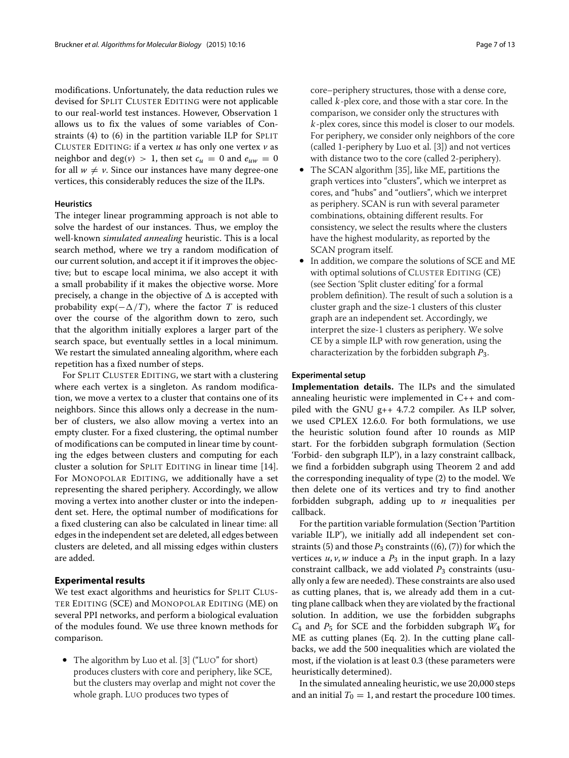modifications. Unfortunately, the data reduction rules we devised for SPLIT CLUSTER EDITING were not applicable to our real-world test instances. However, Observation [1](#page-3-3) allows us to fix the values of some variables of Constraints [\(4\)](#page-5-3) to [\(6\)](#page-5-2) in the partition variable ILP for SPLIT CLUSTER EDITING: if a vertex *u* has only one vertex *v* as neighbor and deg( $\nu$ ) > 1, then set  $c_u = 0$  and  $e_{uw} = 0$ for all  $w \neq v$ . Since our instances have many degree-one vertices, this considerably reduces the size of the ILPs.

## **Heuristics**

The integer linear programming approach is not able to solve the hardest of our instances. Thus, we employ the well-known *simulated annealing* heuristic. This is a local search method, where we try a random modification of our current solution, and accept it if it improves the objective; but to escape local minima, we also accept it with a small probability if it makes the objective worse. More precisely, a change in the objective of  $\Delta$  is accepted with probability  $exp(-\Delta/T)$ , where the factor *T* is reduced over the course of the algorithm down to zero, such that the algorithm initially explores a larger part of the search space, but eventually settles in a local minimum. We restart the simulated annealing algorithm, where each repetition has a fixed number of steps.

For SPLIT CLUSTER EDITING, we start with a clustering where each vertex is a singleton. As random modification, we move a vertex to a cluster that contains one of its neighbors. Since this allows only a decrease in the number of clusters, we also allow moving a vertex into an empty cluster. For a fixed clustering, the optimal number of modifications can be computed in linear time by counting the edges between clusters and computing for each cluster a solution for SPLIT EDITING in linear time [\[14\]](#page-12-5). For MONOPOLAR EDITING, we additionally have a set representing the shared periphery. Accordingly, we allow moving a vertex into another cluster or into the independent set. Here, the optimal number of modifications for a fixed clustering can also be calculated in linear time: all edges in the independent set are deleted, all edges between clusters are deleted, and all missing edges within clusters are added.

# **Experimental results**

We test exact algorithms and heuristics for SPLIT CLUS-TER EDITING (SCE) and MONOPOLAR EDITING (ME) on several PPI networks, and perform a biological evaluation of the modules found. We use three known methods for comparison.

• The algorithm by Luo et al. [\[3\]](#page-11-2) ("LUO" for short) produces clusters with core and periphery, like SCE, but the clusters may overlap and might not cover the whole graph. LUO produces two types of

core–periphery structures, those with a dense core, called k-plex core, and those with a star core. In the comparison, we consider only the structures with k-plex cores, since this model is closer to our models. For periphery, we consider only neighbors of the core (called 1-periphery by Luo et al. [\[3\]](#page-11-2)) and not vertices with distance two to the core (called 2-periphery).

- The SCAN algorithm [\[35\]](#page-12-26), like ME, partitions the graph vertices into "clusters", which we interpret as cores, and "hubs" and "outliers", which we interpret as periphery. SCAN is run with several parameter combinations, obtaining different results. For consistency, we select the results where the clusters have the highest modularity, as reported by the SCAN program itself.
- In addition, we compare the solutions of SCE and ME with optimal solutions of CLUSTER EDITING (CE) (see Section ['Split cluster editing'](#page-2-1) for a formal problem definition). The result of such a solution is a cluster graph and the size-1 clusters of this cluster graph are an independent set. Accordingly, we interpret the size-1 clusters as periphery. We solve CE by a simple ILP with row generation, using the characterization by the forbidden subgraph *P*3.

# **Experimental setup**

**Implementation details.** The ILPs and the simulated annealing heuristic were implemented in C++ and compiled with the GNU g++ 4.7.2 compiler. As ILP solver, we used CPLEX 12.6.0. For both formulations, we use the heuristic solution found after 10 rounds as MIP start. For the forbidden subgraph formulation (Section ['Forbid- den subgraph ILP'](#page-4-1)), in a lazy constraint callback, we find a forbidden subgraph using Theorem [2](#page-3-4) and add the corresponding inequality of type [\(2\)](#page-4-0) to the model. We then delete one of its vertices and try to find another forbidden subgraph, adding up to *n* inequalities per callback.

For the partition variable formulation (Section ['Partition](#page-5-4) [variable ILP'](#page-5-4)), we initially add all independent set con-straints [\(5\)](#page-5-1) and those  $P_3$  constraints ([\(6\)](#page-5-2), [\(7\)](#page-5-5)) for which the vertices  $u$ ,  $v$ ,  $w$  induce a  $P_3$  in the input graph. In a lazy constraint callback, we add violated *P*<sup>3</sup> constraints (usually only a few are needed). These constraints are also used as cutting planes, that is, we already add them in a cutting plane callback when they are violated by the fractional solution. In addition, we use the forbidden subgraphs *C*<sup>4</sup> and *P*<sup>5</sup> for SCE and the forbidden subgraph *W*<sup>4</sup> for ME as cutting planes (Eq. [2\)](#page-4-0). In the cutting plane callbacks, we add the 500 inequalities which are violated the most, if the violation is at least 0.3 (these parameters were heuristically determined).

In the simulated annealing heuristic, we use 20,000 steps and an initial  $T_0 = 1$ , and restart the procedure 100 times.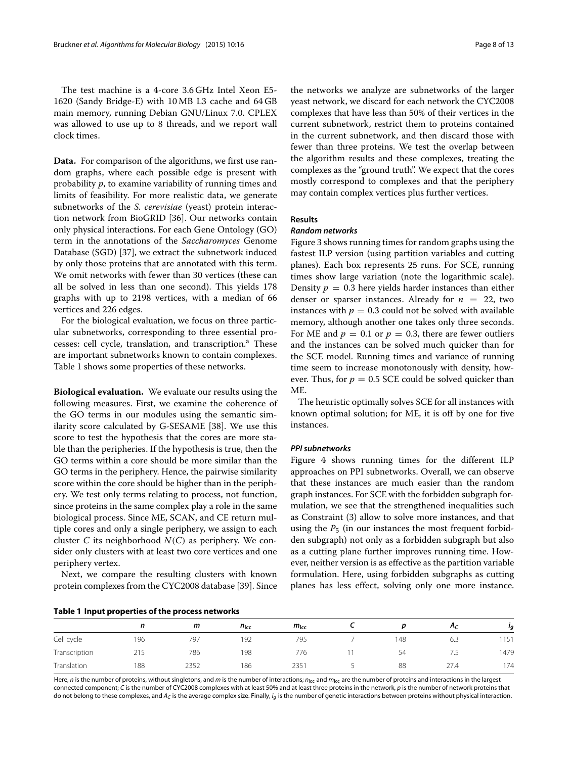The test machine is a 4-core 3.6 GHz Intel Xeon E5- 1620 (Sandy Bridge-E) with 10 MB L3 cache and 64 GB main memory, running Debian GNU/Linux 7.0. CPLEX was allowed to use up to 8 threads, and we report wall clock times.

**Data.** For comparison of the algorithms, we first use random graphs, where each possible edge is present with probability *p*, to examine variability of running times and limits of feasibility. For more realistic data, we generate subnetworks of the *S. cerevisiae* (yeast) protein interaction network from BioGRID [\[36\]](#page-12-27). Our networks contain only physical interactions. For each Gene Ontology (GO) term in the annotations of the *Saccharomyces* Genome Database (SGD) [\[37\]](#page-12-28), we extract the subnetwork induced by only those proteins that are annotated with this term. We omit networks with fewer than 30 vertices (these can all be solved in less than one second). This yields 178 graphs with up to 2198 vertices, with a median of 66 vertices and 226 edges.

For the biological evaluation, we focus on three particular subnetworks, corresponding to three essential processes: cell cycle, translation, and transcription.<sup>a</sup> These are important subnetworks known to contain complexes. Table [1](#page-7-0) shows some properties of these networks.

**Biological evaluation.** We evaluate our results using the following measures. First, we examine the coherence of the GO terms in our modules using the semantic similarity score calculated by G-SESAME [\[38\]](#page-12-29). We use this score to test the hypothesis that the cores are more stable than the peripheries. If the hypothesis is true, then the GO terms within a core should be more similar than the GO terms in the periphery. Hence, the pairwise similarity score within the core should be higher than in the periphery. We test only terms relating to process, not function, since proteins in the same complex play a role in the same biological process. Since ME, SCAN, and CE return multiple cores and only a single periphery, we assign to each cluster *C* its neighborhood *N*(*C*) as periphery. We consider only clusters with at least two core vertices and one periphery vertex.

Next, we compare the resulting clusters with known protein complexes from the CYC2008 database [\[39\]](#page-12-30). Since

<span id="page-7-0"></span>

|  |  | Table 1 Input properties of the process networks |  |  |  |
|--|--|--------------------------------------------------|--|--|--|
|--|--|--------------------------------------------------|--|--|--|

the networks we analyze are subnetworks of the larger yeast network, we discard for each network the CYC2008 complexes that have less than 50% of their vertices in the current subnetwork, restrict them to proteins contained in the current subnetwork, and then discard those with fewer than three proteins. We test the overlap between the algorithm results and these complexes, treating the complexes as the "ground truth". We expect that the cores mostly correspond to complexes and that the periphery may contain complex vertices plus further vertices.

# **Results**

## *Random networks*

Figure [3](#page-8-0) shows running times for random graphs using the fastest ILP version (using partition variables and cutting planes). Each box represents 25 runs. For SCE, running times show large variation (note the logarithmic scale). Density  $p = 0.3$  here yields harder instances than either denser or sparser instances. Already for  $n = 22$ , two instances with  $p = 0.3$  could not be solved with available memory, although another one takes only three seconds. For ME and  $p = 0.1$  or  $p = 0.3$ , there are fewer outliers and the instances can be solved much quicker than for the SCE model. Running times and variance of running time seem to increase monotonously with density, however. Thus, for  $p = 0.5$  SCE could be solved quicker than ME.

The heuristic optimally solves SCE for all instances with known optimal solution; for ME, it is off by one for five instances.

#### *PPI subnetworks*

Figure [4](#page-8-1) shows running times for the different ILP approaches on PPI subnetworks. Overall, we can observe that these instances are much easier than the random graph instances. For SCE with the forbidden subgraph formulation, we see that the strengthened inequalities such as Constraint [\(3\)](#page-5-6) allow to solve more instances, and that using the  $P_5$  (in our instances the most frequent forbidden subgraph) not only as a forbidden subgraph but also as a cutting plane further improves running time. However, neither version is as effective as the partition variable formulation. Here, using forbidden subgraphs as cutting planes has less effect, solving only one more instance.

|               | n   | m    | $n_{\text{lcc}}$ | $m_{\text{lcc}}$ |  |    | Ac   | Ιa   |  |  |  |
|---------------|-----|------|------------------|------------------|--|----|------|------|--|--|--|
| Cell cycle    | 96  | 797  | 192              | 795              |  | 48 | 6.3  | 1151 |  |  |  |
| Transcription | 215 | 786  | 198              | 776              |  | 54 |      | 1479 |  |  |  |
| Translation   | 188 | 2352 | 186              | 2351             |  | 88 | 27.4 | 174  |  |  |  |

Here, *n* is the number of proteins, without singletons, and *m* is the number of interactions;  $n_{\text{lcc}}$  and  $m_{\text{lcc}}$  are the number of proteins and interactions in the largest connected component; *C* is the number of CYC2008 complexes with at least 50% and at least three proteins in the network, *p* is the number of network proteins that do not belong to these complexes, and *A<sub>C</sub>* is the average complex size. Finally, *i<sub>g</sub>* is the number of genetic interactions between proteins without physical interaction.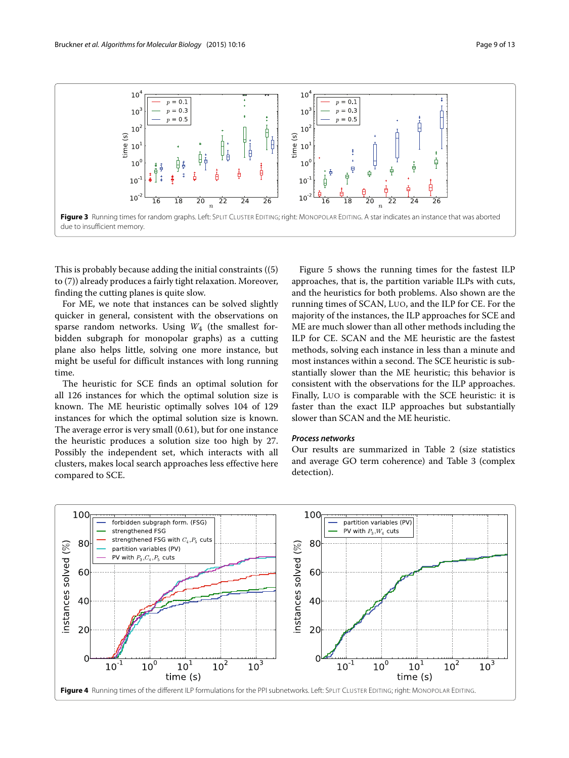

<span id="page-8-0"></span>This is probably because adding the initial constraints ([\(5\)](#page-5-1) to [\(7\)](#page-5-5)) already produces a fairly tight relaxation. Moreover, finding the cutting planes is quite slow.

For ME, we note that instances can be solved slightly quicker in general, consistent with the observations on sparse random networks. Using *W*<sup>4</sup> (the smallest forbidden subgraph for monopolar graphs) as a cutting plane also helps little, solving one more instance, but might be useful for difficult instances with long running time.

The heuristic for SCE finds an optimal solution for all 126 instances for which the optimal solution size is known. The ME heuristic optimally solves 104 of 129 instances for which the optimal solution size is known. The average error is very small (0.61), but for one instance the heuristic produces a solution size too high by 27. Possibly the independent set, which interacts with all clusters, makes local search approaches less effective here compared to SCE.

Figure [5](#page-9-0) shows the running times for the fastest ILP approaches, that is, the partition variable ILPs with cuts, and the heuristics for both problems. Also shown are the running times of SCAN, LUO, and the ILP for CE. For the majority of the instances, the ILP approaches for SCE and ME are much slower than all other methods including the ILP for CE. SCAN and the ME heuristic are the fastest methods, solving each instance in less than a minute and most instances within a second. The SCE heuristic is substantially slower than the ME heuristic; this behavior is consistent with the observations for the ILP approaches. Finally, LUO is comparable with the SCE heuristic: it is faster than the exact ILP approaches but substantially slower than SCAN and the ME heuristic.

# *Process networks*

Our results are summarized in Table [2](#page-9-1) (size statistics and average GO term coherence) and Table [3](#page-10-0) (complex detection).

<span id="page-8-1"></span>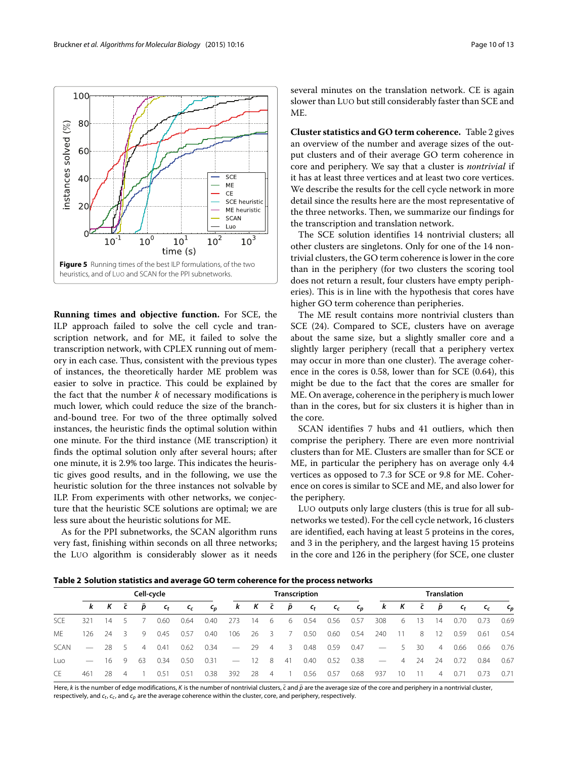

<span id="page-9-0"></span>**Running times and objective function.** For SCE, the ILP approach failed to solve the cell cycle and transcription network, and for ME, it failed to solve the transcription network, with CPLEX running out of memory in each case. Thus, consistent with the previous types of instances, the theoretically harder ME problem was easier to solve in practice. This could be explained by the fact that the number *k* of necessary modifications is much lower, which could reduce the size of the branchand-bound tree. For two of the three optimally solved instances, the heuristic finds the optimal solution within one minute. For the third instance (ME transcription) it finds the optimal solution only after several hours; after one minute, it is 2.9% too large. This indicates the heuristic gives good results, and in the following, we use the heuristic solution for the three instances not solvable by ILP. From experiments with other networks, we conjecture that the heuristic SCE solutions are optimal; we are less sure about the heuristic solutions for ME.

As for the PPI subnetworks, the SCAN algorithm runs very fast, finishing within seconds on all three networks; the LUO algorithm is considerably slower as it needs

several minutes on the translation network. CE is again slower than LUO but still considerably faster than SCE and ME.

**Cluster statistics and GO term coherence.** Table [2](#page-9-1) gives an overview of the number and average sizes of the output clusters and of their average GO term coherence in core and periphery. We say that a cluster is *nontrivial* if it has at least three vertices and at least two core vertices. We describe the results for the cell cycle network in more detail since the results here are the most representative of the three networks. Then, we summarize our findings for the transcription and translation network.

The SCE solution identifies 14 nontrivial clusters; all other clusters are singletons. Only for one of the 14 nontrivial clusters, the GO term coherence is lower in the core than in the periphery (for two clusters the scoring tool does not return a result, four clusters have empty peripheries). This is in line with the hypothesis that cores have higher GO term coherence than peripheries.

The ME result contains more nontrivial clusters than SCE (24). Compared to SCE, clusters have on average about the same size, but a slightly smaller core and a slightly larger periphery (recall that a periphery vertex may occur in more than one cluster). The average coherence in the cores is 0.58, lower than for SCE (0.64), this might be due to the fact that the cores are smaller for ME. On average, coherence in the periphery is much lower than in the cores, but for six clusters it is higher than in the core.

SCAN identifies 7 hubs and 41 outliers, which then comprise the periphery. There are even more nontrivial clusters than for ME. Clusters are smaller than for SCE or ME, in particular the periphery has on average only 4.4 vertices as opposed to 7.3 for SCE or 9.8 for ME. Coherence on cores is similar to SCE and ME, and also lower for the periphery.

LUO outputs only large clusters (this is true for all subnetworks we tested). For the cell cycle network, 16 clusters are identified, each having at least 5 proteins in the cores, and 3 in the periphery, and the largest having 15 proteins in the core and 126 in the periphery (for SCE, one cluster

**Table 2 Solution statistics and average GO term coherence for the process networks**

<span id="page-9-1"></span>

|             | Cell-cycle |       |     |                  |       |       |       | Transcription |      |                |                          |                   |      | <b>Translation</b> |            |       |      |                |        |           |        |
|-------------|------------|-------|-----|------------------|-------|-------|-------|---------------|------|----------------|--------------------------|-------------------|------|--------------------|------------|-------|------|----------------|--------|-----------|--------|
|             |            | k K c |     | $\boldsymbol{p}$ | $c_t$ | $c_c$ | $c_p$ | к К с р       |      |                |                          | $c_t$ $c_c$ $c_p$ |      |                    |            | k K c |      | $\bar{p}$      | $c_t$  | $c_c$     | $c_p$  |
| SCE.        | -321       | 14    | - 5 |                  | 0.60  | 0.64  | 0.40  | 273           |      |                |                          | 14 6 6 0.54       | 0.56 | 0.57               | 308        | 6 13  |      | - 14           | 0.70   | 0.73      | - 0.69 |
| MF.         | -126       | - 24  | - 3 | -9               | 0.45  | 0.57  | 0.40  | 106           | 26 3 |                | $7\overline{ }$          | 0.50              | 0.60 | 0.54               | 240        | $-11$ |      | 8 12           | 0.59   | 0.61      | 0.54   |
| <b>SCAN</b> |            | $-28$ | - 5 | $\overline{4}$   | 0.41  | 0.62  | 0.34  | $-29$         |      | $\overline{4}$ | $\overline{\phantom{a}}$ | 0.48              | 0.59 |                    | $0.47 - 5$ |       | - 30 | $\overline{4}$ | 0.66   | 0.66 0.76 |        |
| Luo         |            | $-16$ | - 9 | -63              | 0.34  | 0.50  | 0.31  | $-12$         |      | - 8            | 41                       | 0.40              | 0.52 | 0.38               | $- 4 24$   |       |      | 24             | 0.72   | 0.84      | 0.67   |
| CF.         | 461        | -28   | 4   |                  | 0.51  | 0.51  | 0.38  | 392           | 28 4 |                | $\sim$ 1                 | 0.56              | 0.57 | 0.68               | 937        | 10    | - 11 |                | 4 0.71 | 0.73      | 0.71   |

Here, *k* is the number of edge modifications, *K* is the number of nontrivial clusters,  $\bar{c}$  and  $\bar{p}$  are the average size of the core and periphery in a nontrivial cluster, respectively, and *ct*, *cc*, and *cp* are the average coherence within the cluster, core, and periphery, respectively.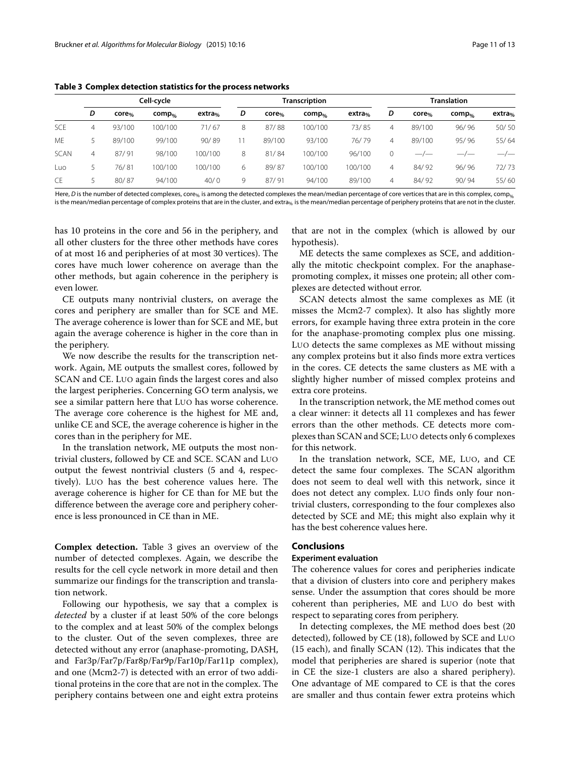| Table 3 Complex detection statistics for the process networks |
|---------------------------------------------------------------|
|---------------------------------------------------------------|

<span id="page-10-0"></span>

|             |                |                   | Cell-cycle         |                    | <b>Transcription</b> |                   |                   |                    |   | <b>Translation</b> |                   |                    |  |  |
|-------------|----------------|-------------------|--------------------|--------------------|----------------------|-------------------|-------------------|--------------------|---|--------------------|-------------------|--------------------|--|--|
|             | D              | core <sub>%</sub> | comp <sub>06</sub> | extra <sub>%</sub> | D                    | core <sub>%</sub> | comp <sub>%</sub> | extra <sub>%</sub> | D | core <sub>%</sub>  | comp <sub>0</sub> | extra <sub>%</sub> |  |  |
| <b>SCE</b>  | $\overline{4}$ | 93/100            | 100/100            | 71/67              | 8                    | 87/88             | 100/100           | 73/85              | 4 | 89/100             | 96/96             | 50/50              |  |  |
| ME          | Ь              | 89/100            | 99/100             | 90/89              |                      | 89/100            | 93/100            | 76/79              | 4 | 89/100             | 95/96             | 55/64              |  |  |
| <b>SCAN</b> | 4              | 87/91             | 98/100             | 100/100            | 8                    | 81/84             | 100/100           | 96/100             | 0 | —/—                | —/—               | $-\prime$ $-$      |  |  |
| Luo         | C              | 76/81             | 100/100            | 100/100            | 6                    | 89/87             | 100/100           | 100/100            | 4 | 84/92              | 96/96             | 72/73              |  |  |
| CE.         | Ь              | 80/87             | 94/100             | 40/0               | 9                    | 87/91             | 94/100            | 89/100             | 4 | 84/92              | 90/94             | 55/60              |  |  |

Here, *D* is the number of detected complexes, core<sub>%</sub> is among the detected complexes the mean/median percentage of core vertices that are in this complex, comp<sub>%</sub> is the mean/median percentage of complex proteins that are in the cluster, and extra $\omega$  is the mean/median percentage of periphery proteins that are not in the cluster.

has 10 proteins in the core and 56 in the periphery, and all other clusters for the three other methods have cores of at most 16 and peripheries of at most 30 vertices). The cores have much lower coherence on average than the other methods, but again coherence in the periphery is even lower.

CE outputs many nontrivial clusters, on average the cores and periphery are smaller than for SCE and ME. The average coherence is lower than for SCE and ME, but again the average coherence is higher in the core than in the periphery.

We now describe the results for the transcription network. Again, ME outputs the smallest cores, followed by SCAN and CE. LUO again finds the largest cores and also the largest peripheries. Concerning GO term analysis, we see a similar pattern here that LUO has worse coherence. The average core coherence is the highest for ME and, unlike CE and SCE, the average coherence is higher in the cores than in the periphery for ME.

In the translation network, ME outputs the most nontrivial clusters, followed by CE and SCE. SCAN and LUO output the fewest nontrivial clusters (5 and 4, respectively). LUO has the best coherence values here. The average coherence is higher for CE than for ME but the difference between the average core and periphery coherence is less pronounced in CE than in ME.

**Complex detection.** Table [3](#page-10-0) gives an overview of the number of detected complexes. Again, we describe the results for the cell cycle network in more detail and then summarize our findings for the transcription and translation network.

Following our hypothesis, we say that a complex is *detected* by a cluster if at least 50% of the core belongs to the complex and at least 50% of the complex belongs to the cluster. Out of the seven complexes, three are detected without any error (anaphase-promoting, DASH, and Far3p/Far7p/Far8p/Far9p/Far10p/Far11p complex), and one (Mcm2-7) is detected with an error of two additional proteins in the core that are not in the complex. The periphery contains between one and eight extra proteins that are not in the complex (which is allowed by our hypothesis).

ME detects the same complexes as SCE, and additionally the mitotic checkpoint complex. For the anaphasepromoting complex, it misses one protein; all other complexes are detected without error.

SCAN detects almost the same complexes as ME (it misses the Mcm2-7 complex). It also has slightly more errors, for example having three extra protein in the core for the anaphase-promoting complex plus one missing. LUO detects the same complexes as ME without missing any complex proteins but it also finds more extra vertices in the cores. CE detects the same clusters as ME with a slightly higher number of missed complex proteins and extra core proteins.

In the transcription network, the ME method comes out a clear winner: it detects all 11 complexes and has fewer errors than the other methods. CE detects more complexes than SCAN and SCE; LUO detects only 6 complexes for this network.

In the translation network, SCE, ME, LUO, and CE detect the same four complexes. The SCAN algorithm does not seem to deal well with this network, since it does not detect any complex. LUO finds only four nontrivial clusters, corresponding to the four complexes also detected by SCE and ME; this might also explain why it has the best coherence values here.

# **Conclusions**

# **Experiment evaluation**

The coherence values for cores and peripheries indicate that a division of clusters into core and periphery makes sense. Under the assumption that cores should be more coherent than peripheries, ME and LUO do best with respect to separating cores from periphery.

In detecting complexes, the ME method does best (20 detected), followed by CE (18), followed by SCE and LUO (15 each), and finally SCAN (12). This indicates that the model that peripheries are shared is superior (note that in CE the size-1 clusters are also a shared periphery). One advantage of ME compared to CE is that the cores are smaller and thus contain fewer extra proteins which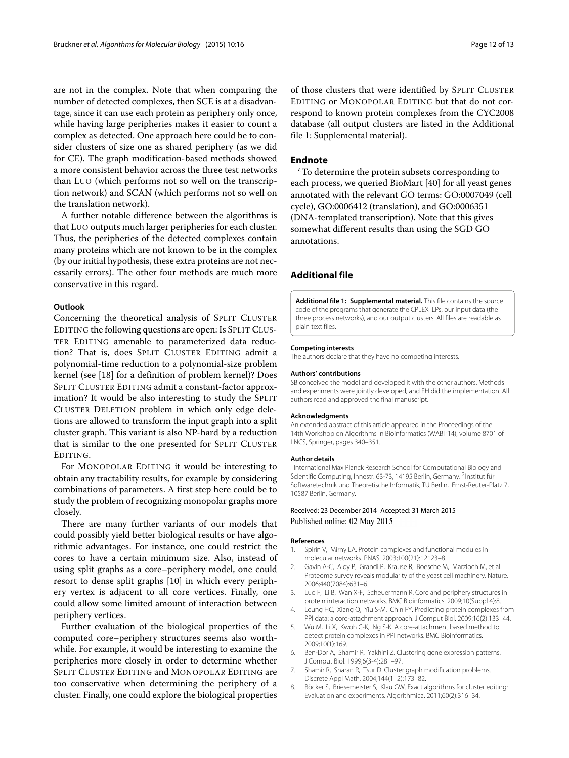are not in the complex. Note that when comparing the number of detected complexes, then SCE is at a disadvantage, since it can use each protein as periphery only once, while having large peripheries makes it easier to count a complex as detected. One approach here could be to consider clusters of size one as shared periphery (as we did for CE). The graph modification-based methods showed a more consistent behavior across the three test networks than LUO (which performs not so well on the transcription network) and SCAN (which performs not so well on the translation network).

A further notable difference between the algorithms is that LUO outputs much larger peripheries for each cluster. Thus, the peripheries of the detected complexes contain many proteins which are not known to be in the complex (by our initial hypothesis, these extra proteins are not necessarily errors). The other four methods are much more conservative in this regard.

# **Outlook**

Concerning the theoretical analysis of SPLIT CLUSTER EDITING the following questions are open: Is SPLIT CLUS-TER EDITING amenable to parameterized data reduction? That is, does SPLIT CLUSTER EDITING admit a polynomial-time reduction to a polynomial-size problem kernel (see [\[18\]](#page-12-9) for a definition of problem kernel)? Does SPLIT CLUSTER EDITING admit a constant-factor approximation? It would be also interesting to study the SPLIT CLUSTER DELETION problem in which only edge deletions are allowed to transform the input graph into a split cluster graph. This variant is also NP-hard by a reduction that is similar to the one presented for SPLIT CLUSTER EDITING.

For MONOPOLAR EDITING it would be interesting to obtain any tractability results, for example by considering combinations of parameters. A first step here could be to study the problem of recognizing monopolar graphs more closely.

There are many further variants of our models that could possibly yield better biological results or have algorithmic advantages. For instance, one could restrict the cores to have a certain minimum size. Also, instead of using split graphs as a core–periphery model, one could resort to dense split graphs [\[10\]](#page-12-1) in which every periphery vertex is adjacent to all core vertices. Finally, one could allow some limited amount of interaction between periphery vertices.

Further evaluation of the biological properties of the computed core–periphery structures seems also worthwhile. For example, it would be interesting to examine the peripheries more closely in order to determine whether SPLIT CLUSTER EDITING and MONOPOLAR EDITING are too conservative when determining the periphery of a cluster. Finally, one could explore the biological properties of those clusters that were identified by SPLIT CLUSTER EDITING or MONOPOLAR EDITING but that do not correspond to known protein complexes from the CYC2008 database (all output clusters are listed in the Additional file [1:](#page-11-8) Supplemental material).

# **Endnote**

<sup>a</sup>To determine the protein subsets corresponding to each process, we queried BioMart [\[40\]](#page-12-31) for all yeast genes annotated with the relevant GO terms: GO:0007049 (cell cycle), GO:0006412 (translation), and GO:0006351 (DNA-templated transcription). Note that this gives somewhat different results than using the SGD GO annotations.

# **Additional file**

<span id="page-11-8"></span>**[Additional file 1:](http://www.almob.org/2014/content/supplementary/s13015-015-0043-7-s1.zip) Supplemental material.** This file contains the source code of the programs that generate the CPLEX ILPs, our input data (the three process networks), and our output clusters. All files are readable as plain text files.

## **Competing interests**

The authors declare that they have no competing interests.

#### **Authors' contributions**

SB conceived the model and developed it with the other authors. Methods and experiments were jointly developed, and FH did the implementation. All authors read and approved the final manuscript.

#### **Acknowledgments**

An extended abstract of this article appeared in the Proceedings of the 14th Workshop on Algorithms in Bioinformatics (WABI '14), volume 8701 of LNCS, Springer, pages 340–351.

#### **Author details**

<sup>1</sup> International Max Planck Research School for Computational Biology and Scientific Computing, Ihnestr. 63-73, 14195 Berlin, Germany. <sup>2</sup>Institut für Softwaretechnik und Theoretische Informatik, TU Berlin, Ernst-Reuter-Platz 7, 10587 Berlin, Germany.

# Received: 23 December 2014 Accepted: 31 March 2015 Published online: 02 May 2015

#### **References**

- <span id="page-11-0"></span>1. Spirin V, Mirny LA. Protein complexes and functional modules in molecular networks. PNAS. 2003;100(21):12123–8.
- <span id="page-11-1"></span>2. Gavin A-C, Aloy P, Grandi P, Krause R, Boesche M, Marzioch M, et al. Proteome survey reveals modularity of the yeast cell machinery. Nature. 2006;440(7084):631–6.
- <span id="page-11-2"></span>3. Luo F, Li B, Wan X-F, Scheuermann R. Core and periphery structures in protein interaction networks. BMC Bioinformatics. 2009;10(Suppl 4):8.
- <span id="page-11-4"></span>4. Leung HC, Xiang Q, Yiu S-M, Chin FY. Predicting protein complexes from PPI data: a core-attachment approach. J Comput Biol. 2009;16(2):133–44.
- <span id="page-11-3"></span>5. Wu M, Li X, Kwoh C-K, Ng S-K. A core-attachment based method to detect protein complexes in PPI networks. BMC Bioinformatics. 2009;10(1):169.
- <span id="page-11-5"></span>6. Ben-Dor A, Shamir R, Yakhini Z. Clustering gene expression patterns. J Comput Biol. 1999;6(3-4):281–97.
- <span id="page-11-6"></span>7. Shamir R, Sharan R, Tsur D. Cluster graph modification problems. Discrete Appl Math. 2004;144(1–2):173–82.
- <span id="page-11-7"></span>8. Böcker S, Briesemeister S, Klau GW. Exact algorithms for cluster editing: Evaluation and experiments. Algorithmica. 2011;60(2):316–34.